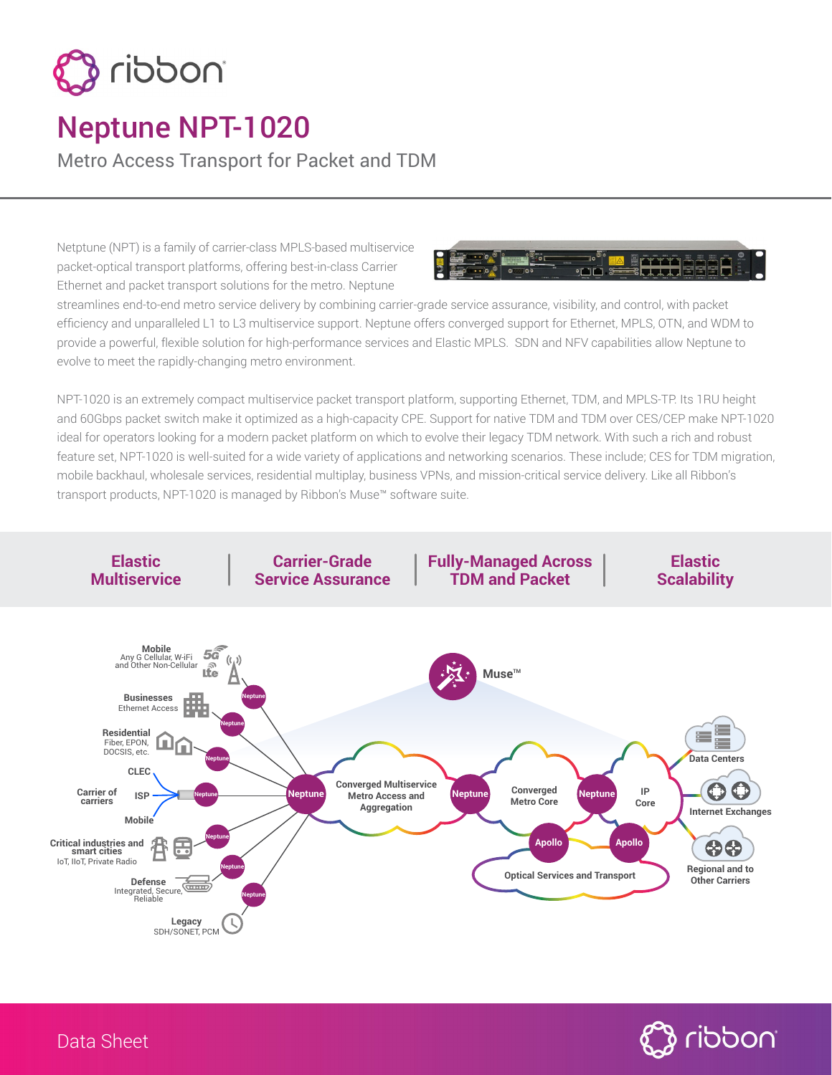

## Neptune NPT-1020

Metro Access Transport for Packet and TDM

Netptune (NPT) is a family of carrier-class MPLS-based multiservice packet-optical transport platforms, offering best-in-class Carrier Ethernet and packet transport solutions for the metro. Neptune



streamlines end-to-end metro service delivery by combining carrier-grade service assurance, visibility, and control, with packet efficiency and unparalleled L1 to L3 multiservice support. Neptune offers converged support for Ethernet, MPLS, OTN, and WDM to provide a powerful, flexible solution for high-performance services and Elastic MPLS. SDN and NFV capabilities allow Neptune to evolve to meet the rapidly-changing metro environment.

NPT-1020 is an extremely compact multiservice packet transport platform, supporting Ethernet, TDM, and MPLS-TP. Its 1RU height and 60Gbps packet switch make it optimized as a high-capacity CPE. Support for native TDM and TDM over CES/CEP make NPT-1020 ideal for operators looking for a modern packet platform on which to evolve their legacy TDM network. With such a rich and robust feature set, NPT-1020 is well-suited for a wide variety of applications and networking scenarios. These include; CES for TDM migration, mobile backhaul, wholesale services, residential multiplay, business VPNs, and mission-critical service delivery. Like all Ribbon's transport products, NPT-1020 is managed by Ribbon's Muse™ software suite.





Data Sheet